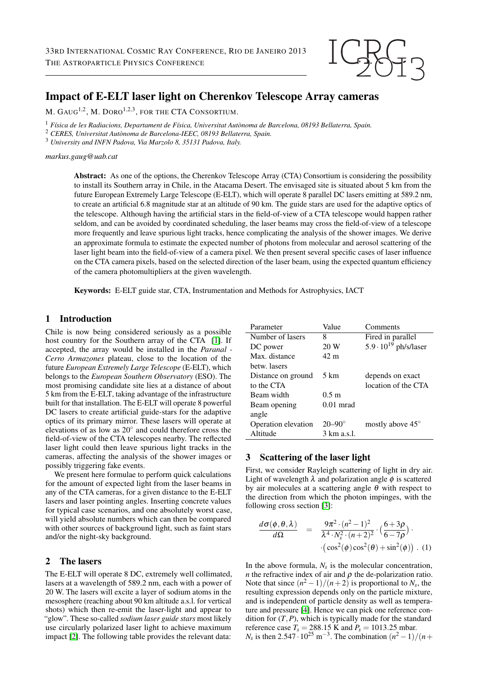

# Impact of E-ELT laser light on Cherenkov Telescope Array cameras

M. GAUG<sup>1,2</sup>, M. DORO<sup>1,2,3</sup>, for the CTA Consortium.

<sup>1</sup> *F´ısica de les Radiacions, Departament de F´ısica, Universitat Autonoma de Barcelona, 08193 Bellaterra, Spain. `*

<sup>2</sup> *CERES, Universitat Autonoma de Barcelona-IEEC, 08193 Bellaterra, Spain. `*

<sup>3</sup> *University and INFN Padova, Via Marzolo 8, 35131 Padova, Italy.*

*markus.gaug@uab.cat*

Abstract: As one of the options, the Cherenkov Telescope Array (CTA) Consortium is considering the possibility to install its Southern array in Chile, in the Atacama Desert. The envisaged site is situated about 5 km from the future European Extremely Large Telescope (E-ELT), which will operate 8 parallel DC lasers emitting at 589.2 nm, to create an artificial 6.8 magnitude star at an altitude of 90 km. The guide stars are used for the adaptive optics of the telescope. Although having the artificial stars in the field-of-view of a CTA telescope would happen rather seldom, and can be avoided by coordinated scheduling, the laser beams may cross the field-of-view of a telescope more frequently and leave spurious light tracks, hence complicating the analysis of the shower images. We derive an approximate formula to estimate the expected number of photons from molecular and aerosol scattering of the laser light beam into the field-of-view of a camera pixel. We then present several specific cases of laser influence on the CTA camera pixels, based on the selected direction of the laser beam, using the expected quantum efficiency of the camera photomultipliers at the given wavelength.

Keywords: E-ELT guide star, CTA, Instrumentation and Methods for Astrophysics, IACT

### 1 Introduction

Chile is now being considered seriously as a possible host country for the Southern array of the CTA [\[1\]](#page-3-0). If accepted, the array would be installed in the *Paranal - Cerro Armazones* plateau, close to the location of the future *European Extremely Large Telescope* (E-ELT), which belongs to the *European Southern Observatory* (ESO). The most promising candidate site lies at a distance of about 5 km from the E-ELT, taking advantage of the infrastructure built for that installation. The E-ELT will operate 8 powerful DC lasers to create artificial guide-stars for the adaptive optics of its primary mirror. These lasers will operate at elevations of as low as 20◦ and could therefore cross the field-of-view of the CTA telescopes nearby. The reflected laser light could then leave spurious light tracks in the cameras, affecting the analysis of the shower images or possibly triggering fake events.

We present here formulae to perform quick calculations for the amount of expected light from the laser beams in any of the CTA cameras, for a given distance to the E-ELT lasers and laser pointing angles. Inserting concrete values for typical case scenarios, and one absolutely worst case, will yield absolute numbers which can then be compared with other sources of background light, such as faint stars and/or the night-sky background.

#### 2 The lasers

The E-ELT will operate 8 DC, extremely well collimated, lasers at a wavelength of 589.2 nm, each with a power of 20 W. The lasers will excite a layer of sodium atoms in the mesosphere (reaching about 90 km altitude a.s.l. for vertical shots) which then re-emit the laser-light and appear to "glow". These so-called *sodium laser guide stars* most likely use circularly polarized laser light to achieve maximum impact [\[2\]](#page-3-1). The following table provides the relevant data:

| Parameter           | Value             | Comments                       |
|---------------------|-------------------|--------------------------------|
| Number of lasers    | 8                 | Fired in parallel              |
| DC power            | 20 W              | $5.9 \cdot 10^{19}$ ph/s/laser |
| Max. distance       | 42 m              |                                |
| betw. lasers        |                   |                                |
| Distance on ground  | 5 km              | depends on exact               |
| to the CTA          |                   | location of the CTA            |
| Beam width          | 0.5 m             |                                |
| Beam opening        | $0.01$ mrad       |                                |
| angle               |                   |                                |
| Operation elevation | $20 - 90^{\circ}$ | mostly above $45^{\circ}$      |
| Altitude            | 3 km a.s.l.       |                                |

### 3 Scattering of the laser light

First, we consider Rayleigh scattering of light in dry air. Light of wavelength  $\lambda$  and polarization angle  $\phi$  is scattered by air molecules at a scattering angle  $\theta$  with respect to the direction from which the photon impinges, with the following cross section [\[3\]](#page-3-2):

$$
\frac{d\sigma(\phi,\theta,\lambda)}{d\Omega} = \frac{9\pi^2 \cdot (n^2-1)^2}{\lambda^4 \cdot N_s^2 \cdot (n+2)^2} \cdot \left(\frac{6+3\rho}{6-7\rho}\right) \cdot \left(\cos^2(\phi)\cos^2(\theta) + \sin^2(\phi)\right) . (1)
$$

In the above formula,  $N_s$  is the molecular concentration, *n* the refractive index of air and  $\rho$  the de-polarization ratio. Note that since  $(n^2-1)/(n+2)$  is proportional to  $N_s$ , the resulting expression depends only on the particle mixture, and is independent of particle density as well as temperature and pressure [\[4\]](#page-3-3). Hence we can pick one reference condition for  $(T, P)$ , which is typically made for the standard reference case  $T_s = 288.15$  K and  $P_s = 1013.25$  mbar.  $N_s$  is then 2.547 · 10<sup>25</sup> m<sup>-3</sup>. The combination  $(n^2 - 1)/(n + 1)$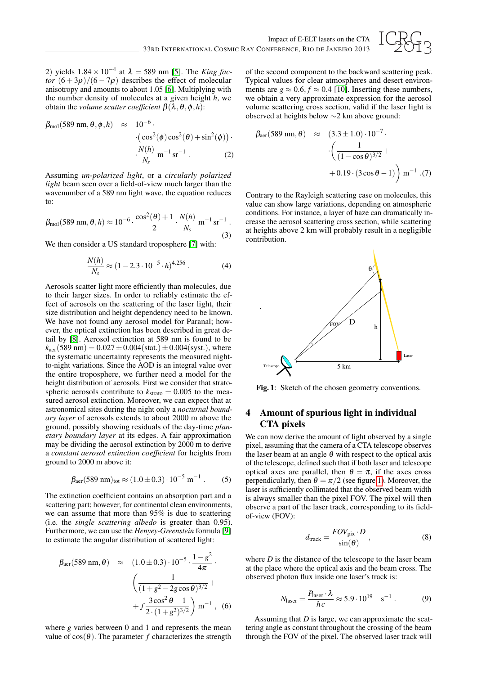

2) yields 1.84 × 10−<sup>4</sup> at λ = 589 nm [\[5\]](#page-3-4). The *King factor*  $(6+3\rho)/(6-7\rho)$  describes the effect of molecular anisotropy and amounts to about 1.05 [\[6\]](#page-3-5). Multiplying with the number density of molecules at a given height *h*, we obtain the *volume scatter coefficient*  $β(λ, θ, φ, h)$ :

$$
\beta_{\text{mol}}(589 \text{ nm}, \theta, \phi, h) \approx 10^{-6} \cdot \left(\cos^2(\phi)\cos^2(\theta) + \sin^2(\phi)\right) \cdot \frac{N(h)}{N_s} \text{ m}^{-1} \text{ sr}^{-1} \tag{2}
$$

Assuming *un-polarized light*, or a *circularly polarized light* beam seen over a field-of-view much larger than the wavenumber of a 589 nm light wave, the equation reduces to:

$$
\beta_{\text{mol}}(589 \text{ nm}, \theta, h) \approx 10^{-6} \cdot \frac{\cos^2(\theta) + 1}{2} \cdot \frac{N(h)}{N_s} \text{ m}^{-1} \text{ sr}^{-1}.
$$
\n(3)

We then consider a US standard troposphere [\[7\]](#page-3-6) with:

$$
\frac{N(h)}{N_s} \approx (1 - 2.3 \cdot 10^{-5} \cdot h)^{4.256} \,. \tag{4}
$$

Aerosols scatter light more efficiently than molecules, due to their larger sizes. In order to reliably estimate the effect of aerosols on the scattering of the laser light, their size distribution and height dependency need to be known. We have not found any aerosol model for Paranal; however, the optical extinction has been described in great detail by [\[8\]](#page-3-7). Aerosol extinction at 589 nm is found to be  $k_{\text{aer}}(589 \text{ nm}) = 0.027 \pm 0.004(\text{stat.}) \pm 0.004(\text{syst.})$ , where the systematic uncertainty represents the measured nightto-night variations. Since the AOD is an integral value over the entire troposphere, we further need a model for the height distribution of aerosols. First we consider that stratospheric aerosols contribute to  $k_{\text{strato}} = 0.005$  to the measured aerosol extinction. Moreover, we can expect that at astronomical sites during the night only a *nocturnal boundary layer* of aerosols extends to about 2000 m above the ground, possibly showing residuals of the day-time *planetary boundary layer* at its edges. A fair approximation may be dividing the aerosol extinction by 2000 m to derive a *constant aerosol extinction coefficient* for heights from ground to 2000 m above it:

$$
\beta_{\text{aer}}(589 \text{ nm})_{\text{tot}} \approx (1.0 \pm 0.3) \cdot 10^{-5} \text{ m}^{-1}. \tag{5}
$$

The extinction coefficient contains an absorption part and a scattering part; however, for continental clean environments, we can assume that more than 95% is due to scattering (i.e. the *single scattering albedo* is greater than 0.95). Furthermore, we can use the *Henyey-Greenstein* formula [\[9\]](#page-3-8) to estimate the angular distribution of scattered light:

$$
\beta_{\text{aer}}(589 \text{ nm}, \theta) \approx (1.0 \pm 0.3) \cdot 10^{-5} \cdot \frac{1 - g^2}{4\pi} \cdot \left( \frac{1}{(1 + g^2 - 2g \cos \theta)^{3/2}} + f \frac{3 \cos^2 \theta - 1}{2 \cdot (1 + g^2)^{3/2}} \right) \text{m}^{-1}, \quad (6)
$$

where *g* varies between 0 and 1 and represents the mean value of  $cos(\theta)$ . The parameter *f* characterizes the strength

of the second component to the backward scattering peak. Typical values for clear atmospheres and desert environments are  $g \approx 0.6$ ,  $f \approx 0.4$  [\[10\]](#page-3-9). Inserting these numbers, we obtain a very approximate expression for the aerosol volume scattering cross section, valid if the laser light is observed at heights below ∼2 km above ground:

$$
\beta_{\text{aer}}(589 \text{ nm}, \theta) \approx (3.3 \pm 1.0) \cdot 10^{-7} \cdot \left( \frac{1}{(1 - \cos \theta)^{3/2}} + 0.19 \cdot (3 \cos \theta - 1) \right) \text{ m}^{-1} \cdot (7)
$$

Contrary to the Rayleigh scattering case on molecules, this value can show large variations, depending on atmospheric conditions. For instance, a layer of haze can dramatically increase the aerosol scattering cross section, while scattering at heights above 2 km will probably result in a negligible contribution.



<span id="page-1-0"></span>Fig. 1: Sketch of the chosen geometry conventions.

# 4 Amount of spurious light in individual CTA pixels

We can now derive the amount of light observed by a single pixel, assuming that the camera of a CTA telescope observes the laser beam at an angle  $\theta$  with respect to the optical axis of the telescope, defined such that if both laser and telescope optical axes are parallel, then  $\theta = \pi$ , if the axes cross perpendicularly, then  $\theta = \pi/2$  (see figure [1\)](#page-1-0). Moreover, the laser is sufficiently collimated that the observed beam width is always smaller than the pixel FOV. The pixel will then observe a part of the laser track, corresponding to its fieldof-view (FOV):

$$
d_{\text{track}} = \frac{FOV_{\text{pix}} \cdot D}{\sin(\theta)} , \qquad (8)
$$

where *D* is the distance of the telescope to the laser beam at the place where the optical axis and the beam cross. The observed photon flux inside one laser's track is:

$$
N_{\text{laser}} = \frac{P_{\text{laser}} \cdot \lambda}{hc} \approx 5.9 \cdot 10^{19} \quad \text{s}^{-1} \,. \tag{9}
$$

Assuming that *D* is large, we can approximate the scattering angle as constant throughout the crossing of the beam through the FOV of the pixel. The observed laser track will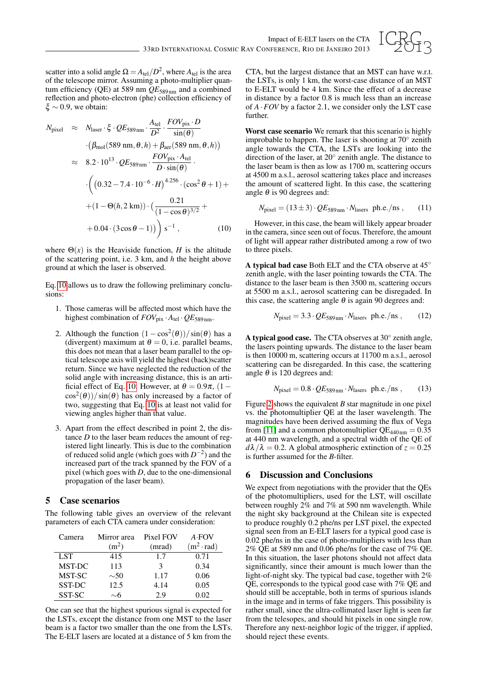

scatter into a solid angle  $\Omega = A_{\text{tel}}/D^2$ , where  $A_{\text{tel}}$  is the area of the telescope mirror. Assuming a photo-multiplier quantum efficiency (QE) at 589 nm  $QE_{589 \text{nm}}$  and a combined reflection and photo-electron (phe) collection efficiency of  $\xi \sim 0.9$ , we obtain:

<span id="page-2-0"></span>
$$
N_{\text{pixel}} \approx N_{\text{laser}} \cdot \xi \cdot QE_{589 \text{ nm}} \cdot \frac{A_{\text{tel}}}{D^2} \cdot \frac{FOV_{\text{pix}} \cdot D}{\sin(\theta)}
$$
  
\n
$$
\approx ( \beta_{\text{mol}} (589 \text{ nm}, \theta, h) + \beta_{\text{aer}} (589 \text{ nm}, \theta, h) )
$$
  
\n
$$
\approx 8.2 \cdot 10^{13} \cdot QE_{589 \text{ nm}} \cdot \frac{FOV_{\text{pix}} \cdot A_{\text{tel}}}{D \cdot \sin(\theta)} \cdot \left( (0.32 - 7.4 \cdot 10^{-6} \cdot H)^{4.256} \cdot (\cos^2 \theta + 1) + (1 - \Theta(h, 2 \text{ km})) \cdot \left( \frac{0.21}{(1 - \cos \theta)^{3/2}} + (0.04 \cdot (3 \cos \theta - 1)) \right) \right) s^{-1}, \qquad (10)
$$

where  $\Theta(x)$  is the Heaviside function, *H* is the altitude of the scattering point, i.e. 3 km, and *h* the height above ground at which the laser is observed.

Eq. [10](#page-2-0) allows us to draw the following preliminary conclusions:

- 1. Those cameras will be affected most which have the highest combination of  $FOV_{pix} \cdot A_{tel} \cdot QE_{589 \text{ nm}}$ .
- 2. Although the function  $(1 \cos^2(\theta))/\sin(\theta)$  has a (divergent) maximum at  $\theta = 0$ , i.e. parallel beams, this does not mean that a laser beam parallel to the optical telescope axis will yield the highest (back)scatter return. Since we have neglected the reduction of the solid angle with increasing distance, this is an arti-ficial effect of Eq. [10.](#page-2-0) However, at  $\theta = 0.9\pi$ , (1 –  $cos^2(\theta)$ )/sin( $\theta$ ) has only increased by a factor of two, suggesting that Eq. [10](#page-2-0) is at least not valid for viewing angles higher than that value.
- 3. Apart from the effect described in point 2, the distance *D* to the laser beam reduces the amount of registered light linearly. This is due to the combination of reduced solid angle (which goes with  $D^{-2}$ ) and the increased part of the track spanned by the FOV of a pixel (which goes with *D*, due to the one-dimensional propagation of the laser beam).

### 5 Case scenarios

The following table gives an overview of the relevant parameters of each CTA camera under consideration:

| Camera        | Mirror area       | Pixel FOV | $A$ FOV           |
|---------------|-------------------|-----------|-------------------|
|               | (m <sup>2</sup> ) | (mrad)    | $(m^2 \cdot rad)$ |
| LST           | 415               | 1.7       | 0.71              |
| <b>MST-DC</b> | 113               | 3         | 0.34              |
| MST-SC        | $\sim 50$         | 1.17      | 0.06              |
| SST-DC        | 12.5              | 4.14      | 0.05              |
| SST-SC        | $\sim$ 6          | 29        | 0.02              |

One can see that the highest spurious signal is expected for the LSTs, except the distance from one MST to the laser beam is a factor two smaller than the one from the LSTs. The E-ELT lasers are located at a distance of 5 km from the

CTA, but the largest distance that an MST can have w.r.t. the LSTs, is only 1 km, the worst-case distance of an MST to E-ELT would be 4 km. Since the effect of a decrease in distance by a factor 0.8 is much less than an increase of *A*·*FOV* by a factor 2.1, we consider only the LST case further.

Worst case scenario We remark that this scenario is highly improbable to happen. The laser is shooting at 70◦ zenith angle towards the CTA, the LSTs are looking into the direction of the laser, at 20◦ zenith angle. The distance to the laser beam is then as low as 1700 m, scattering occurs at 4500 m a.s.l., aerosol scattering takes place and increases the amount of scattered light. In this case, the scattering angle  $\theta$  is 90 degrees and:

$$
N_{\text{pixel}} = (13 \pm 3) \cdot QE_{589 \,\text{nm}} \cdot N_{\text{lasers}} \ \text{ph.e./ns} \ , \qquad (11)
$$

However, in this case, the beam will likely appear broader in the camera, since seen out of focus. Therefore, the amount of light will appear rather distributed among a row of two to three pixels.

A typical bad case Both ELT and the CTA observe at 45◦ zenith angle, with the laser pointing towards the CTA. The distance to the laser beam is then 3500 m, scattering occurs at 5500 m a.s.l., aerosol scattering can be disregaded. In this case, the scattering angle  $\theta$  is again 90 degrees and:

$$
N_{\text{pixel}} = 3.3 \cdot QE_{589 \text{ nm}} \cdot N_{\text{lasers}} \text{ ph.e.}/\text{ns} , \qquad (12)
$$

A typical good case. The CTA observes at 30° zenith angle, the lasers pointing upwards. The distance to the laser beam is then 10000 m, scattering occurs at 11700 m a.s.l., aerosol scattering can be disregarded. In this case, the scattering angle  $\theta$  is 120 degrees and:

$$
N_{\text{pixel}} = 0.8 \cdot \text{QE}_{589 \,\text{nm}} \cdot N_{\text{lasers}} \, \text{ph.e./ns} \,, \qquad (13)
$$

Figure [2](#page-3-10) shows the equivalent *B* star magnitude in one pixel vs. the photomultiplier QE at the laser wavelength. The magnitudes have been derived assuming the flux of Vega from [\[11\]](#page-3-11) and a common photomultiplier  $QE_{440 \text{nm}} = 0.35$ at 440 nm wavelength, and a spectral width of the QE of  $d\lambda/\lambda = 0.2$ . A global atmospheric extinction of  $z = 0.25$ is further assumed for the *B*-filter.

#### 6 Discussion and Conclusions

We expect from negotiations with the provider that the QEs of the photomultipliers, used for the LST, will oscillate between roughly 2% and 7% at 590 nm wavelength. While the night sky background at the Chilean site is expected to produce roughly 0.2 phe/ns per LST pixel, the expected signal seen from an E-ELT lasers for a typical good case is 0.02 phe/ns in the case of photo-multipliers with less than 2% QE at 589 nm and 0.06 phe/ns for the case of 7% QE. In this situation, the laser photons should not affect data significantly, since their amount is much lower than the light-of-night sky. The typical bad case, together with 2% QE, corresponds to the typical good case with 7% QE and should still be acceptable, both in terms of spurious islands in the image and in terms of fake triggers. This possibility is rather small, since the ultra-collimated laser light is seen far from the telesopes, and should hit pixels in one single row. Therefore any next-neighbor logic of the trigger, if applied, should reject these events.